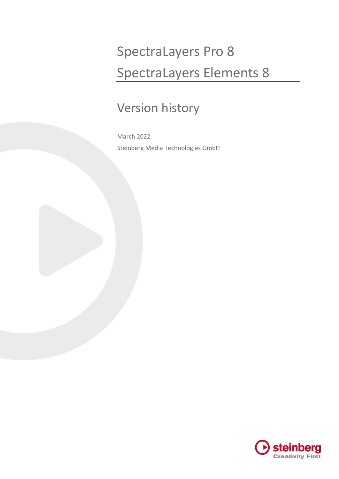# SpectraLayers Pro 8 SpectraLayers Elements 8

# Version history

March 2022 Steinberg Media Technologies GmbH

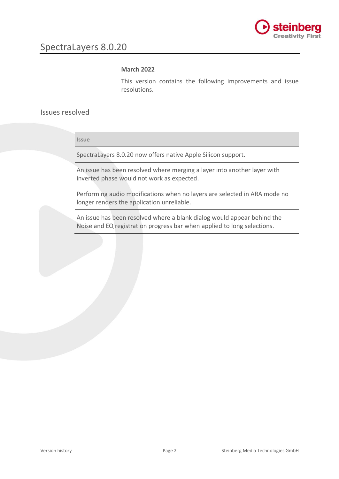

#### **March 2022**

This version contains the following improvements and issue resolutions.

## Issues resolved

**Issue**

SpectraLayers 8.0.20 now offers native Apple Silicon support.

An issue has been resolved where merging a layer into another layer with inverted phase would not work as expected.

Performing audio modifications when no layers are selected in ARA mode no longer renders the application unreliable.

An issue has been resolved where a blank dialog would appear behind the Noise and EQ registration progress bar when applied to long selections.